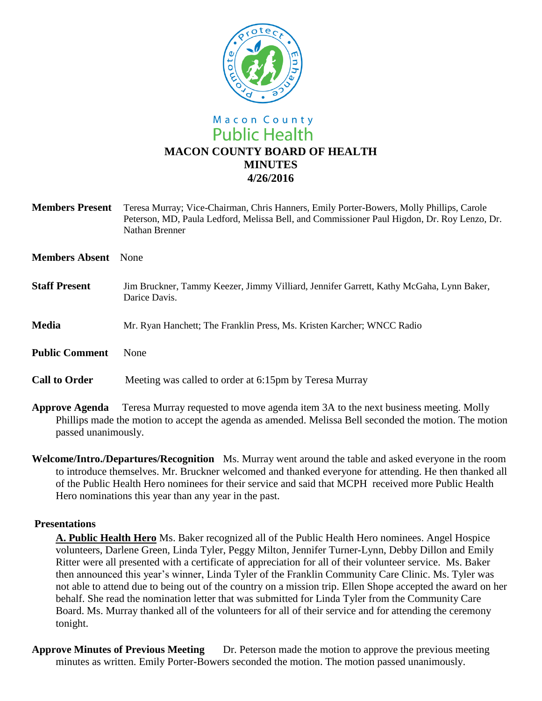

# Macon County **Public Health MACON COUNTY BOARD OF HEALTH MINUTES 4/26/2016**

| <b>Members Present</b> | Teresa Murray; Vice-Chairman, Chris Hanners, Emily Porter-Bowers, Molly Phillips, Carole<br>Peterson, MD, Paula Ledford, Melissa Bell, and Commissioner Paul Higdon, Dr. Roy Lenzo, Dr.<br>Nathan Brenner |
|------------------------|-----------------------------------------------------------------------------------------------------------------------------------------------------------------------------------------------------------|
| <b>Members Absent</b>  | <b>None</b>                                                                                                                                                                                               |
| <b>Staff Present</b>   | Jim Bruckner, Tammy Keezer, Jimmy Villiard, Jennifer Garrett, Kathy McGaha, Lynn Baker,<br>Darice Davis.                                                                                                  |
| <b>Media</b>           | Mr. Ryan Hanchett; The Franklin Press, Ms. Kristen Karcher; WNCC Radio                                                                                                                                    |
| <b>Public Comment</b>  | None                                                                                                                                                                                                      |
| <b>Call to Order</b>   | Meeting was called to order at 6:15pm by Teresa Murray                                                                                                                                                    |
|                        |                                                                                                                                                                                                           |

**Approve Agenda** Teresa Murray requested to move agenda item 3A to the next business meeting. Molly Phillips made the motion to accept the agenda as amended. Melissa Bell seconded the motion. The motion passed unanimously.

**Welcome/Intro./Departures/Recognition** Ms. Murray went around the table and asked everyone in the room to introduce themselves. Mr. Bruckner welcomed and thanked everyone for attending. He then thanked all of the Public Health Hero nominees for their service and said that MCPH received more Public Health Hero nominations this year than any year in the past.

### **Presentations**

**A. Public Health Hero** Ms. Baker recognized all of the Public Health Hero nominees. Angel Hospice volunteers, Darlene Green, Linda Tyler, Peggy Milton, Jennifer Turner-Lynn, Debby Dillon and Emily Ritter were all presented with a certificate of appreciation for all of their volunteer service. Ms. Baker then announced this year's winner, Linda Tyler of the Franklin Community Care Clinic. Ms. Tyler was not able to attend due to being out of the country on a mission trip. Ellen Shope accepted the award on her behalf. She read the nomination letter that was submitted for Linda Tyler from the Community Care Board. Ms. Murray thanked all of the volunteers for all of their service and for attending the ceremony tonight.

**Approve Minutes of Previous Meeting** Dr. Peterson made the motion to approve the previous meeting minutes as written. Emily Porter-Bowers seconded the motion. The motion passed unanimously.